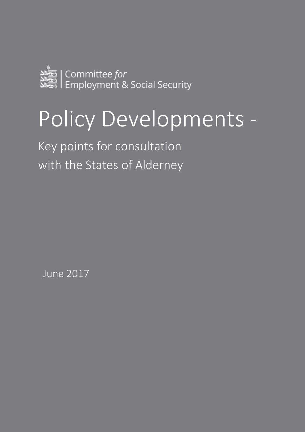

# Policy Developments -

Key points for consultation with the States of Alderney

June 2017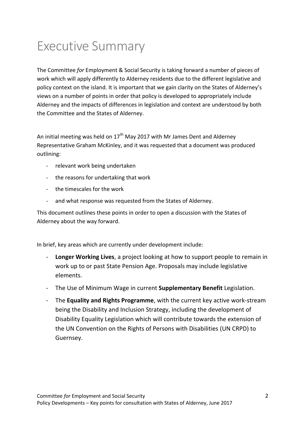# Executive Summary

The Committee *for* Employment & Social Security is taking forward a number of pieces of work which will apply differently to Alderney residents due to the different legislative and policy context on the island. It is important that we gain clarity on the States of Alderney's views on a number of points in order that policy is developed to appropriately include Alderney and the impacts of differences in legislation and context are understood by both the Committee and the States of Alderney.

An initial meeting was held on  $17<sup>th</sup>$  May 2017 with Mr James Dent and Alderney Representative Graham McKinley, and it was requested that a document was produced outlining:

- relevant work being undertaken
- the reasons for undertaking that work
- the timescales for the work
- and what response was requested from the States of Alderney.

This document outlines these points in order to open a discussion with the States of Alderney about the way forward.

In brief, key areas which are currently under development include:

- **Longer Working Lives**, a project looking at how to support people to remain in work up to or past State Pension Age. Proposals may include legislative elements.
- The Use of Minimum Wage in current **Supplementary Benefit** Legislation.
- The **Equality and Rights Programme**, with the current key active work-stream being the Disability and Inclusion Strategy, including the development of Disability Equality Legislation which will contribute towards the extension of the UN Convention on the Rights of Persons with Disabilities (UN CRPD) to Guernsey.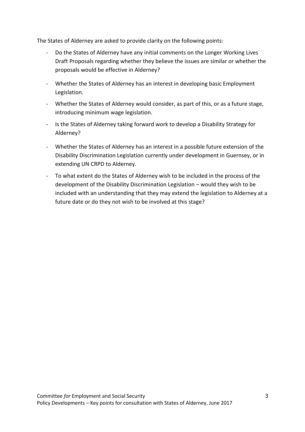The States of Alderney are asked to provide clarity on the following points:

- Do the States of Alderney have any initial comments on the Longer Working Lives Draft Proposals regarding whether they believe the issues are similar or whether the proposals would be effective in Alderney?
- Whether the States of Alderney has an interest in developing basic Employment Legislation.
- Whether the States of Alderney would consider, as part of this, or as a future stage, introducing minimum wage legislation.
- Is the States of Alderney taking forward work to develop a Disability Strategy for Alderney?
- Whether the States of Alderney has an interest in a possible future extension of the Disability Discrimination Legislation currently under development in Guernsey, or in extending UN CRPD to Alderney.
- To what extent do the States of Alderney wish to be included in the process of the development of the Disability Discrimination Legislation – would they wish to be included with an understanding that they may extend the legislation to Alderney at a future date or do they not wish to be involved at this stage?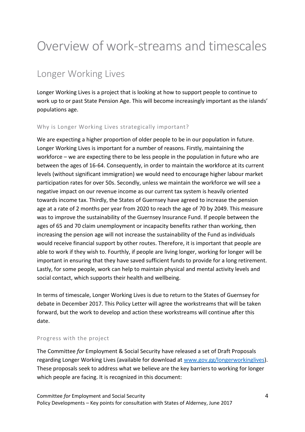# Overview of work-streams and timescales

### Longer Working Lives

Longer Working Lives is a project that is looking at how to support people to continue to work up to or past State Pension Age. This will become increasingly important as the islands' populations age.

### Why is Longer Working Lives strategically important?

We are expecting a higher proportion of older people to be in our population in future. Longer Working Lives is important for a number of reasons. Firstly, maintaining the workforce – we are expecting there to be less people in the population in future who are between the ages of 16-64. Consequently, in order to maintain the workforce at its current levels (without significant immigration) we would need to encourage higher labour market participation rates for over 50s. Secondly, unless we maintain the workforce we will see a negative impact on our revenue income as our current tax system is heavily oriented towards income tax. Thirdly, the States of Guernsey have agreed to increase the pension age at a rate of 2 months per year from 2020 to reach the age of 70 by 2049. This measure was to improve the sustainability of the Guernsey Insurance Fund. If people between the ages of 65 and 70 claim unemployment or incapacity benefits rather than working, then increasing the pension age will not increase the sustainability of the Fund as individuals would receive financial support by other routes. Therefore, it is important that people are able to work if they wish to. Fourthly, if people are living longer, working for longer will be important in ensuring that they have saved sufficient funds to provide for a long retirement. Lastly, for some people, work can help to maintain physical and mental activity levels and social contact, which supports their health and wellbeing.

In terms of timescale, Longer Working Lives is due to return to the States of Guernsey for debate in December 2017. This Policy Letter will agree the workstreams that will be taken forward, but the work to develop and action these workstreams will continue after this date.

#### Progress with the project

The Committee *for* Employment & Social Security have released a set of Draft Proposals regarding Longer Working Lives (available for download at [www.gov.gg/longerworkinglives\)](http://www.gov.gg/longerworkinglives). These proposals seek to address what we believe are the key barriers to working for longer which people are facing. It is recognized in this document: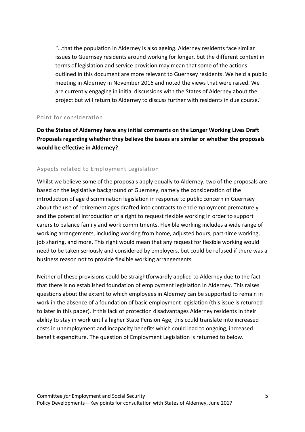"…that the population in Alderney is also ageing. Alderney residents face similar issues to Guernsey residents around working for longer, but the different context in terms of legislation and service provision may mean that some of the actions outlined in this document are more relevant to Guernsey residents. We held a public meeting in Alderney in November 2016 and noted the views that were raised. We are currently engaging in initial discussions with the States of Alderney about the project but will return to Alderney to discuss further with residents in due course."

#### Point for consideration

**Do the States of Alderney have any initial comments on the Longer Working Lives Draft Proposals regarding whether they believe the issues are similar or whether the proposals would be effective in Alderney**?

### Aspects related to Employment Legislation

Whilst we believe some of the proposals apply equally to Alderney, two of the proposals are based on the legislative background of Guernsey, namely the consideration of the introduction of age discrimination legislation in response to public concern in Guernsey about the use of retirement ages drafted into contracts to end employment prematurely and the potential introduction of a right to request flexible working in order to support carers to balance family and work commitments. Flexible working includes a wide range of working arrangements, including working from home, adjusted hours, part-time working, job sharing, and more. This right would mean that any request for flexible working would need to be taken seriously and considered by employers, but could be refused if there was a business reason not to provide flexible working arrangements.

Neither of these provisions could be straightforwardly applied to Alderney due to the fact that there is no established foundation of employment legislation in Alderney. This raises questions about the extent to which employees in Alderney can be supported to remain in work in the absence of a foundation of basic employment legislation (this issue is returned to later in this paper). If this lack of protection disadvantages Alderney residents in their ability to stay in work until a higher State Pension Age, this could translate into increased costs in unemployment and incapacity benefits which could lead to ongoing, increased benefit expenditure. The question of Employment Legislation is returned to below.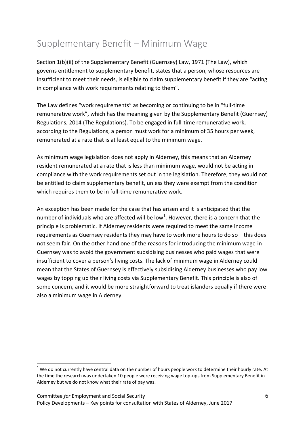### Supplementary Benefit – Minimum Wage

Section 1(b)(ii) of the Supplementary Benefit (Guernsey) Law, 1971 (The Law), which governs entitlement to supplementary benefit, states that a person, whose resources are insufficient to meet their needs, is eligible to claim supplementary benefit if they are "acting in compliance with work requirements relating to them".

The Law defines "work requirements" as becoming or continuing to be in "full-time remunerative work", which has the meaning given by the Supplementary Benefit (Guernsey) Regulations, 2014 (The Regulations). To be engaged in full-time remunerative work, according to the Regulations, a person must work for a minimum of 35 hours per week, remunerated at a rate that is at least equal to the minimum wage.

As minimum wage legislation does not apply in Alderney, this means that an Alderney resident remunerated at a rate that is less than minimum wage, would not be acting in compliance with the work requirements set out in the legislation. Therefore, they would not be entitled to claim supplementary benefit, unless they were exempt from the condition which requires them to be in full-time remunerative work.

An exception has been made for the case that has arisen and it is anticipated that the number of individuals who are affected will be low<sup>1</sup>. However, there is a concern that the principle is problematic. If Alderney residents were required to meet the same income requirements as Guernsey residents they may have to work more hours to do so – this does not seem fair. On the other hand one of the reasons for introducing the minimum wage in Guernsey was to avoid the government subsidising businesses who paid wages that were insufficient to cover a person's living costs. The lack of minimum wage in Alderney could mean that the States of Guernsey is effectively subsidising Alderney businesses who pay low wages by topping up their living costs via Supplementary Benefit. This principle is also of some concern, and it would be more straightforward to treat islanders equally if there were also a minimum wage in Alderney.

 $\overline{a}$ 

 $1$  We do not currently have central data on the number of hours people work to determine their hourly rate. At the time the research was undertaken 10 people were receiving wage top-ups from Supplementary Benefit in Alderney but we do not know what their rate of pay was.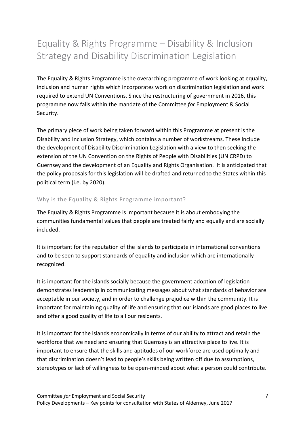### Equality & Rights Programme – Disability & Inclusion Strategy and Disability Discrimination Legislation

The Equality & Rights Programme is the overarching programme of work looking at equality, inclusion and human rights which incorporates work on discrimination legislation and work required to extend UN Conventions. Since the restructuring of government in 2016, this programme now falls within the mandate of the Committee *for* Employment & Social Security.

The primary piece of work being taken forward within this Programme at present is the Disability and Inclusion Strategy, which contains a number of workstreams. These include the development of Disability Discrimination Legislation with a view to then seeking the extension of the UN Convention on the Rights of People with Disabilities (UN CRPD) to Guernsey and the development of an Equality and Rights Organisation. It is anticipated that the policy proposals for this legislation will be drafted and returned to the States within this political term (i.e. by 2020).

### Why is the Equality & Rights Programme important?

The Equality & Rights Programme is important because it is about embodying the communities fundamental values that people are treated fairly and equally and are socially included.

It is important for the reputation of the islands to participate in international conventions and to be seen to support standards of equality and inclusion which are internationally recognized.

It is important for the islands socially because the government adoption of legislation demonstrates leadership in communicating messages about what standards of behavior are acceptable in our society, and in order to challenge prejudice within the community. It is important for maintaining quality of life and ensuring that our islands are good places to live and offer a good quality of life to all our residents.

It is important for the islands economically in terms of our ability to attract and retain the workforce that we need and ensuring that Guernsey is an attractive place to live. It is important to ensure that the skills and aptitudes of our workforce are used optimally and that discrimination doesn't lead to people's skills being written off due to assumptions, stereotypes or lack of willingness to be open-minded about what a person could contribute.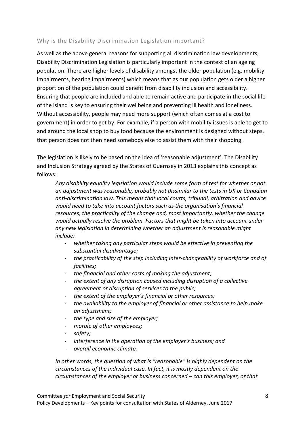### Why is the Disability Discrimination Legislation important?

As well as the above general reasons for supporting all discrimination law developments, Disability Discrimination Legislation is particularly important in the context of an ageing population. There are higher levels of disability amongst the older population (e.g. mobility impairments, hearing impairments) which means that as our population gets older a higher proportion of the population could benefit from disability inclusion and accessibility. Ensuring that people are included and able to remain active and participate in the social life of the island is key to ensuring their wellbeing and preventing ill health and loneliness. Without accessibility, people may need more support (which often comes at a cost to government) in order to get by. For example, if a person with mobility issues is able to get to and around the local shop to buy food because the environment is designed without steps, that person does not then need somebody else to assist them with their shopping.

The legislation is likely to be based on the idea of 'reasonable adjustment'. The Disability and Inclusion Strategy agreed by the States of Guernsey in 2013 explains this concept as follows:

*Any disability equality legislation would include some form of test for whether or not an adjustment was reasonable, probably not dissimilar to the tests in UK or Canadian anti-discrimination law. This means that local courts, tribunal, arbitration and advice would need to take into account factors such as the organisation's financial resources, the practicality of the change and, most importantly, whether the change would actually resolve the problem. Factors that might be taken into account under any new legislation in determining whether an adjustment is reasonable might include:*

- *whether taking any particular steps would be effective in preventing the substantial disadvantage;*
- *the practicability of the step including inter-changeability of workforce and of facilities;*
- *the financial and other costs of making the adjustment;*
- *the extent of any disruption caused including disruption of a collective agreement or disruption of services to the public;*
- *the extent of the employer's financial or other resources;*
- *the availability to the employer of financial or other assistance to help make an adjustment;*
- *the type and size of the employer;*
- *morale of other employees;*
- *safety;*
- *interference in the operation of the employer's business; and*
- *overall economic climate.*

*In other words, the question of what is "reasonable" is highly dependent on the circumstances of the individual case. In fact, it is mostly dependent on the circumstances of the employer or business concerned – can this employer, or that*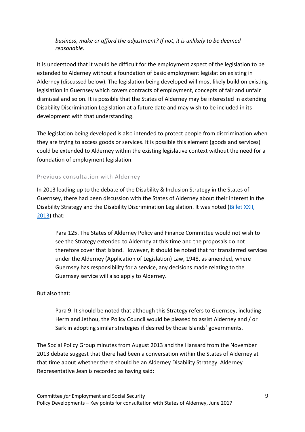### *business, make or afford the adjustment? If not, it is unlikely to be deemed reasonable.*

It is understood that it would be difficult for the employment aspect of the legislation to be extended to Alderney without a foundation of basic employment legislation existing in Alderney (discussed below). The legislation being developed will most likely build on existing legislation in Guernsey which covers contracts of employment, concepts of fair and unfair dismissal and so on. It is possible that the States of Alderney may be interested in extending Disability Discrimination Legislation at a future date and may wish to be included in its development with that understanding.

The legislation being developed is also intended to protect people from discrimination when they are trying to access goods or services. It is possible this element (goods and services) could be extended to Alderney within the existing legislative context without the need for a foundation of employment legislation.

### Previous consultation with Alderney

In 2013 leading up to the debate of the Disability & Inclusion Strategy in the States of Guernsey, there had been discussion with the States of Alderney about their interest in the Disability Strategy and the Disability Discrimination Legislation. It was noted (Billet XXII, [2013\)](https://gov.gg/article/150421/States-Meeting-on-27th-November-2013-Billet-XXII) that:

Para 125. The States of Alderney Policy and Finance Committee would not wish to see the Strategy extended to Alderney at this time and the proposals do not therefore cover that Island. However, it should be noted that for transferred services under the Alderney (Application of Legislation) Law, 1948, as amended, where Guernsey has responsibility for a service, any decisions made relating to the Guernsey service will also apply to Alderney.

### But also that:

Para 9. It should be noted that although this Strategy refers to Guernsey, including Herm and Jethou, the Policy Council would be pleased to assist Alderney and / or Sark in adopting similar strategies if desired by those Islands' governments.

The Social Policy Group minutes from August 2013 and the Hansard from the November 2013 debate suggest that there had been a conversation within the States of Alderney at that time about whether there should be an Alderney Disability Strategy. Alderney Representative Jean is recorded as having said: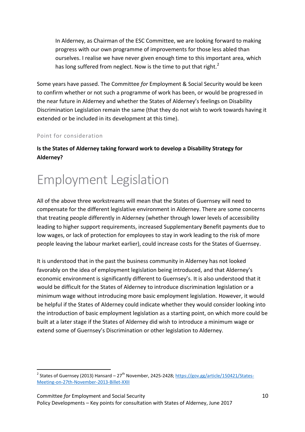In Alderney, as Chairman of the ESC Committee, we are looking forward to making progress with our own programme of improvements for those less abled than ourselves. I realise we have never given enough time to this important area, which has long suffered from neglect. Now is the time to put that right.<sup>2</sup>

Some years have passed. The Committee *for* Employment & Social Security would be keen to confirm whether or not such a programme of work has been, or would be progressed in the near future in Alderney and whether the States of Alderney's feelings on Disability Discrimination Legislation remain the same (that they do not wish to work towards having it extended or be included in its development at this time).

### Point for consideration

**Is the States of Alderney taking forward work to develop a Disability Strategy for Alderney?**

# Employment Legislation

All of the above three workstreams will mean that the States of Guernsey will need to compensate for the different legislative environment in Alderney. There are some concerns that treating people differently in Alderney (whether through lower levels of accessibility leading to higher support requirements, increased Supplementary Benefit payments due to low wages, or lack of protection for employees to stay in work leading to the risk of more people leaving the labour market earlier), could increase costs for the States of Guernsey.

It is understood that in the past the business community in Alderney has not looked favorably on the idea of employment legislation being introduced, and that Alderney's economic environment is significantly different to Guernsey's. It is also understood that it would be difficult for the States of Alderney to introduce discrimination legislation or a minimum wage without introducing more basic employment legislation. However, it would be helpful if the States of Alderney could indicate whether they would consider looking into the introduction of basic employment legislation as a starting point, on which more could be built at a later stage if the States of Alderney did wish to introduce a minimum wage or extend some of Guernsey's Discrimination or other legislation to Alderney.

<sup>2&</sup>lt;br>2 States of Guernsey (2013) Hansard – 27<sup>th</sup> November, 2425-2428; <u>https://gov.gg/article/150421/States-</u> [Meeting-on-27th-November-2013-Billet-XXII](https://gov.gg/article/150421/States-Meeting-on-27th-November-2013-Billet-XXII)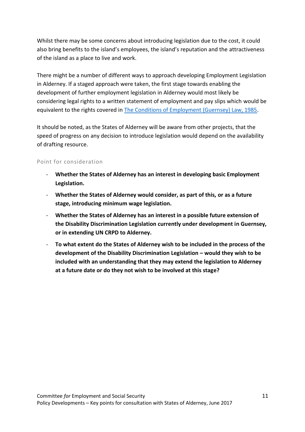Whilst there may be some concerns about introducing legislation due to the cost, it could also bring benefits to the island's employees, the island's reputation and the attractiveness of the island as a place to live and work.

There might be a number of different ways to approach developing Employment Legislation in Alderney. If a staged approach were taken, the first stage towards enabling the development of further employment legislation in Alderney would most likely be considering legal rights to a written statement of employment and pay slips which would be equivalent to the rights covered in [The Conditions of Employment \(Guernsey\) Law, 1985.](http://www.guernseylegalresources.gg/CHttpHandler.ashx?id=71445&p=0)

It should be noted, as the States of Alderney will be aware from other projects, that the speed of progress on any decision to introduce legislation would depend on the availability of drafting resource.

### Point for consideration

- **Whether the States of Alderney has an interest in developing basic Employment Legislation.**
- **Whether the States of Alderney would consider, as part of this, or as a future stage, introducing minimum wage legislation.**
- **Whether the States of Alderney has an interest in a possible future extension of the Disability Discrimination Legislation currently under development in Guernsey, or in extending UN CRPD to Alderney.**
- **To what extent do the States of Alderney wish to be included in the process of the development of the Disability Discrimination Legislation – would they wish to be included with an understanding that they may extend the legislation to Alderney at a future date or do they not wish to be involved at this stage?**